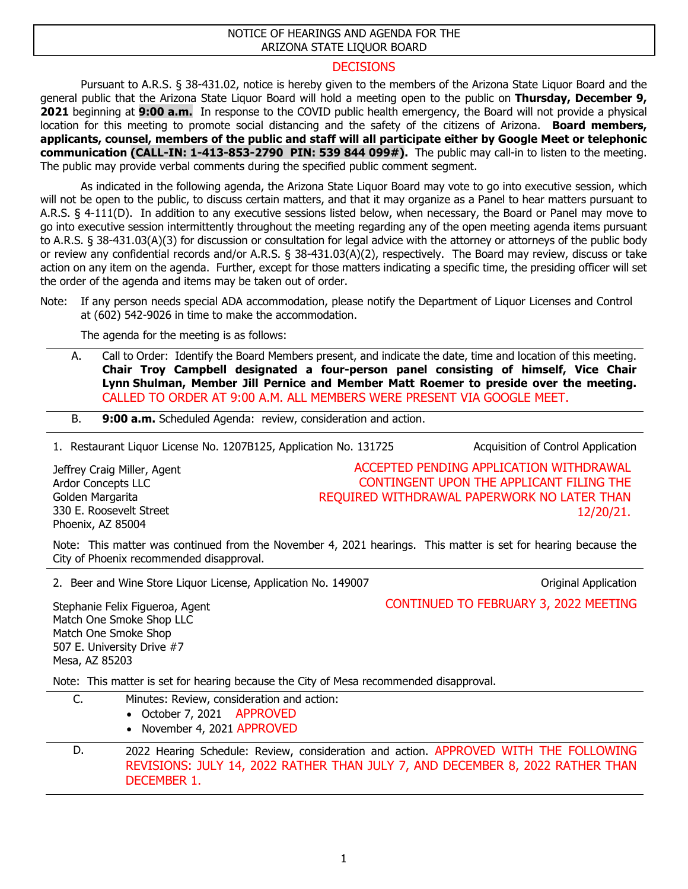## NOTICE OF HEARINGS AND AGENDA FOR THE ARIZONA STATE LIQUOR BOARD

## **DECISIONS**

Pursuant to A.R.S. § 38-431.02, notice is hereby given to the members of the Arizona State Liquor Board and the general public that the Arizona State Liquor Board will hold a meeting open to the public on **Thursday, December 9, 2021** beginning at **9:00 a.m.** In response to the COVID public health emergency, the Board will not provide a physical location for this meeting to promote social distancing and the safety of the citizens of Arizona. **Board members, applicants, counsel, members of the public and staff will all participate either by Google Meet or telephonic communication (CALL-IN: 1-413-853-2790 PIN: 539 844 099#).** The public may call-in to listen to the meeting. The public may provide verbal comments during the specified public comment segment.

As indicated in the following agenda, the Arizona State Liquor Board may vote to go into executive session, which will not be open to the public, to discuss certain matters, and that it may organize as a Panel to hear matters pursuant to A.R.S. § 4-111(D). In addition to any executive sessions listed below, when necessary, the Board or Panel may move to go into executive session intermittently throughout the meeting regarding any of the open meeting agenda items pursuant to A.R.S. § 38-431.03(A)(3) for discussion or consultation for legal advice with the attorney or attorneys of the public body or review any confidential records and/or A.R.S. § 38-431.03(A)(2), respectively. The Board may review, discuss or take action on any item on the agenda. Further, except for those matters indicating a specific time, the presiding officer will set the order of the agenda and items may be taken out of order.

The agenda for the meeting is as follows:

A. Call to Order: Identify the Board Members present, and indicate the date, time and location of this meeting. **Chair Troy Campbell designated a four-person panel consisting of himself, Vice Chair Lynn Shulman, Member Jill Pernice and Member Matt Roemer to preside over the meeting.**  CALLED TO ORDER AT 9:00 A.M. ALL MEMBERS WERE PRESENT VIA GOOGLE MEET.

B. **9:00 a.m.** Scheduled Agenda: review, consideration and action.

1. Restaurant Liquor License No. 1207B125, Application No. 131725 Acquisition of Control Application

Jeffrey Craig Miller, Agent Ardor Concepts LLC Golden Margarita 330 E. Roosevelt Street Phoenix, AZ 85004

ACCEPTED PENDING APPLICATION WITHDRAWAL CONTINGENT UPON THE APPLICANT FILING THE REQUIRED WITHDRAWAL PAPERWORK NO LATER THAN 12/20/21.

Note: This matter was continued from the November 4, 2021 hearings. This matter is set for hearing because the City of Phoenix recommended disapproval.

2. Beer and Wine Store Liquor License, Application No. 149007 Channel Application Channel Application

CONTINUED TO FEBRUARY 3, 2022 MEETING

Stephanie Felix Figueroa, Agent Match One Smoke Shop LLC Match One Smoke Shop 507 E. University Drive #7 Mesa, AZ 85203

Note: This matter is set for hearing because the City of Mesa recommended disapproval.

| C. | Minutes: Review, consideration and action:<br>• October 7, 2021 APPROVED<br>• November 4, 2021 APPROVED                                                                              |
|----|--------------------------------------------------------------------------------------------------------------------------------------------------------------------------------------|
| D. | 2022 Hearing Schedule: Review, consideration and action. APPROVED WITH THE FOLLOWING<br>REVISIONS: JULY 14, 2022 RATHER THAN JULY 7, AND DECEMBER 8, 2022 RATHER THAN<br>DECEMBER 1. |

Note: If any person needs special ADA accommodation, please notify the Department of Liquor Licenses and Control at (602) 542-9026 in time to make the accommodation.